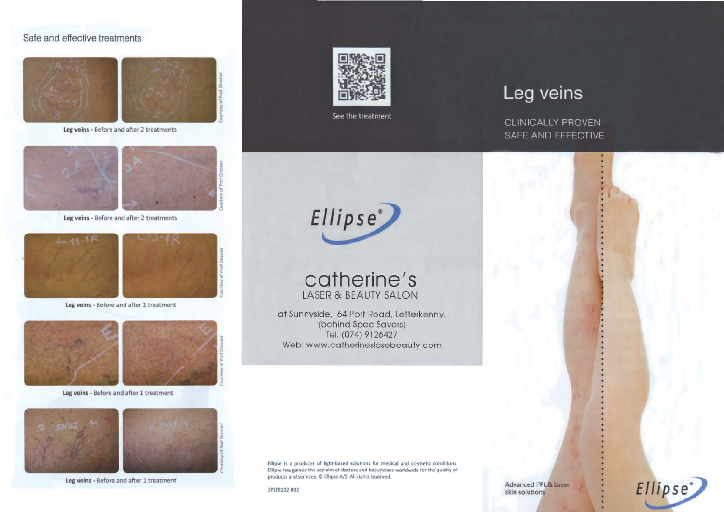# Safe and effective treatments



**leg** veins - Before and after 2 treatments



**leg** veins - Before and after 2 treatments



**leg** veins - Before and after 1 treatment



**leg** veins - Before and after 1 treatment





**leg** veins - Before and after 1 treatment



See the treatment



**catherine's** LASER & BEAUTY SALON

at Sunnyside, 64 Port Road, Letterkenny. (behind Spec Savers) Tel. (074) 9126427 Web: www.catherineslasebeauty.com

Ellipse is a producer of light-based solutions for medical and cosmetic conditions. Ellipse has gained the acclaim of doctors and beauticians worldwide for the quality of products and services.  $\mathbb D$  Ellipse A/S. All rights reserved.

lPLT8192-B02

Leg veins

**CLINICALLY PROVEN** SAFE AND EFFECTIVE

Advanced <sup>12</sup>PL & Laser skin solutions

Ellipse